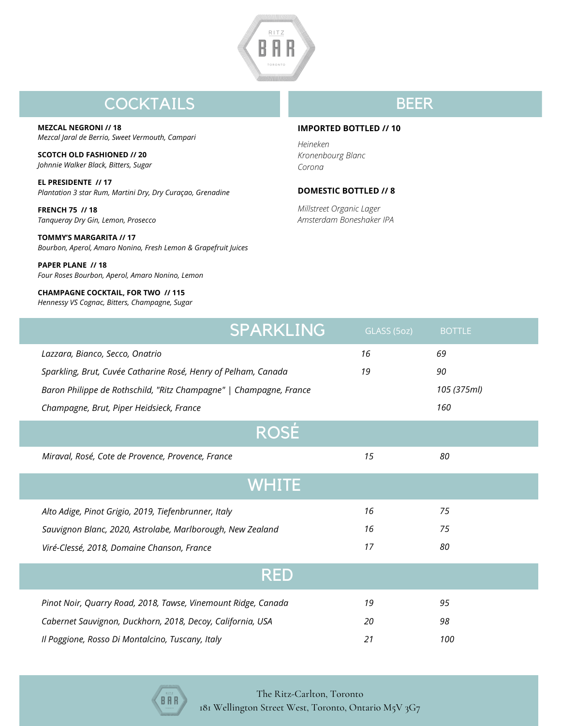

# **COCKTAILS**

**MEZCAL NEGRONI // 18** *Mezcal Jaral de Berrio, Sweet Vermouth, Campari*

**SCOTCH OLD FASHIONED // 20** *Johnnie Walker Black, Bitters, Sugar*

**EL PRESIDENTE // 17** *Plantation 3 star Rum, Martini Dry, Dry Curaçao, Grenadine*

**FRENCH 75 // 18** *Tanqueray Dry Gin, Lemon, Prosecco*

**TOMMY'S MARGARITA // 17** *Bourbon, Aperol, Amaro Nonino, Fresh Lemon & Grapefruit Juices*

**PAPER PLANE // 18** *Four Roses Bourbon, Aperol, Amaro Nonino, Lemon*

white wine **CHAMPAGNE COCKTAIL, FOR TWO // 115** *Hennessy VS Cognac, Bitters, Champagne, Sugar*

## BEER

#### **IMPORTED BOTTLED // 10**

*Heineken Kronenbourg Blanc Corona*

#### **DOMESTIC BOTTLED // 8**

*Millstreet Organic Lager Amsterdam Boneshaker IPA*

|                                                                    | <b>SPARKLING</b> | GLASS (5oz) | <b>BOTTLE</b> |
|--------------------------------------------------------------------|------------------|-------------|---------------|
| Lazzara, Bianco, Secco, Onatrio                                    |                  | 16          | 69            |
| Sparkling, Brut, Cuvée Catharine Rosé, Henry of Pelham, Canada     |                  | 19          | 90            |
| Baron Philippe de Rothschild, "Ritz Champagne"   Champagne, France |                  |             | 105 (375ml)   |
| Champagne, Brut, Piper Heidsieck, France                           |                  |             | 160           |
| <b>ROSÉ</b>                                                        |                  |             |               |
| Miraval, Rosé, Cote de Provence, Provence, France                  |                  | 15          | 80            |
| <b>WHITE</b>                                                       |                  |             |               |
| Alto Adige, Pinot Grigio, 2019, Tiefenbrunner, Italy               |                  | 16          | 75            |
| Sauvignon Blanc, 2020, Astrolabe, Marlborough, New Zealand         |                  | 16          | 75            |
| Viré-Clessé, 2018, Domaine Chanson, France                         |                  | 17          | 80            |
| <b>RED</b>                                                         |                  |             |               |
| Pinot Noir, Quarry Road, 2018, Tawse, Vinemount Ridge, Canada      |                  | 19          | 95            |
| Cabernet Sauvignon, Duckhorn, 2018, Decoy, California, USA         |                  | 20          | 98            |
| Il Poggione, Rosso Di Montalcino, Tuscany, Italy                   |                  | 21          | 100           |



The Ritz-Carlton, Toronto 181 Wellington Street West, Toronto, Ontario M5V 3G7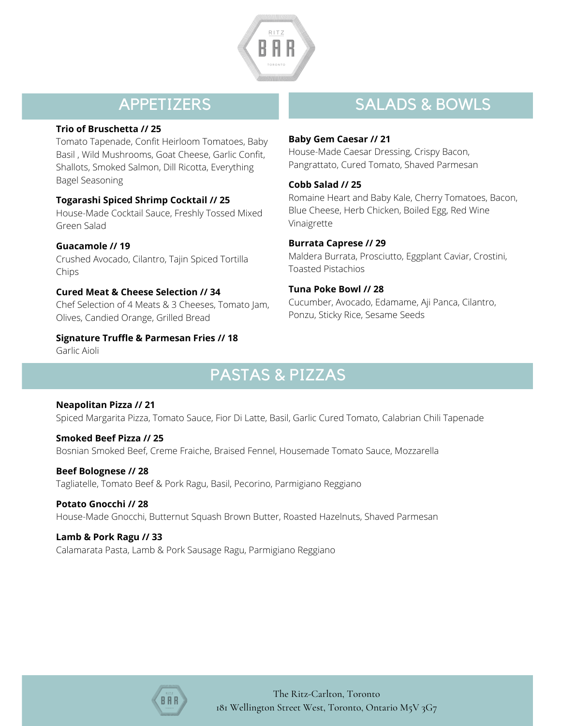

## APPETIZERS

#### **Trio of Bruschetta // 25**

Tomato Tapenade, Confit Heirloom Tomatoes, Baby Basil , Wild Mushrooms, Goat Cheese, Garlic Confit, Shallots, Smoked Salmon, Dill Ricotta, Everything Bagel Seasoning

### **Togarashi Spiced Shrimp Cocktail // 25**

House-Made Cocktail Sauce, Freshly Tossed Mixed Green Salad

**Guacamole // 19** Crushed Avocado, Cilantro, Tajin Spiced Tortilla Chips

**Cured Meat & Cheese Selection // 34** Chef Selection of 4 Meats & 3 Cheeses, Tomato Jam, Olives, Candied Orange, Grilled Bread

**Signature Truffle & Parmesan Fries // 18** Garlic Aioli

## **SALADS & BOWLS**

#### **Baby Gem Caesar // 21**

House-Made Caesar Dressing, Crispy Bacon, Pangrattato, Cured Tomato, Shaved Parmesan

#### **Cobb Salad // 25**

Romaine Heart and Baby Kale, Cherry Tomatoes, Bacon, Blue Cheese, Herb Chicken, Boiled Egg, Red Wine Vinaigrette

### **Burrata Caprese // 29**

Maldera Burrata, Prosciutto, Eggplant Caviar, Crostini, Toasted Pistachios

### **Tuna Poke Bowl // 28**

Cucumber, Avocado, Edamame, Aji Panca, Cilantro, Ponzu, Sticky Rice, Sesame Seeds

# PASTAS & PIZZAS

#### **Neapolitan Pizza // 21**

Spiced Margarita Pizza, Tomato Sauce, Fior Di Latte, Basil, Garlic Cured Tomato, Calabrian Chili Tapenade

**Smoked Beef Pizza // 25**

Bosnian Smoked Beef, Creme Fraiche, Braised Fennel, Housemade Tomato Sauce, Mozzarella

#### **Beef Bolognese // 28**

Tagliatelle, Tomato Beef & Pork Ragu, Basil, Pecorino, Parmigiano Reggiano

#### **Potato Gnocchi // 28**

House-Made Gnocchi, Butternut Squash Brown Butter, Roasted Hazelnuts, Shaved Parmesan

#### **Lamb & Pork Ragu // 33**

Calamarata Pasta, Lamb & Pork Sausage Ragu, Parmigiano Reggiano



The Ritz-Carlton, Toronto 181 Wellington Street West, Toronto, Ontario M5V 3G7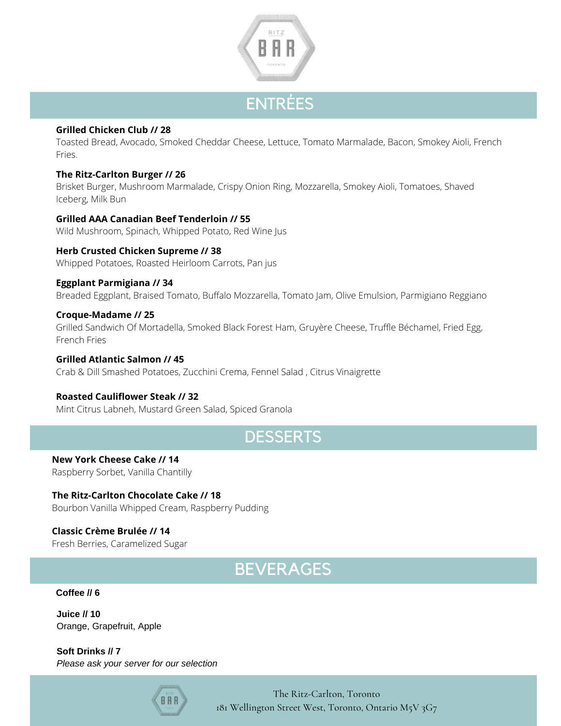

# ENTRÉES

#### **Grilled Chicken Club // 28**

Toasted Bread, Avocado, Smoked Cheddar Cheese, Lettuce, Tomato Marmalade, Bacon, Smokey Aioli, French Fries.

#### **The Ritz-Carlton Burger // 26**

Brisket Burger, Mushroom Marmalade, Crispy Onion Ring, Mozzarella, Smokey Aioli, Tomatoes, Shaved Iceberg, Milk Bun

#### **Grilled AAA Canadian Beef Tenderloin // 55**

Wild Mushroom, Spinach, Whipped Potato, Red Wine Jus

### **Herb Crusted Chicken Supreme // 38**

Whipped Potatoes, Roasted Heirloom Carrots, Pan jus

#### **Eggplant Parmigiana // 34**

Breaded Eggplant, Braised Tomato, Buffalo Mozzarella, Tomato Jam, Olive Emulsion, Parmigiano Reggiano

#### **Croque-Madame // 25**

Grilled Sandwich Of Mortadella, Smoked Black Forest Ham, Gruyère Cheese, Truffle Béchamel, Fried Egg, French Fries

### **Grilled Atlantic Salmon // 45**

Crab & Dill Smashed Potatoes, Zucchini Crema, Fennel Salad , Citrus Vinaigrette

#### **Roasted Cauliflower Steak // 32**

Mint Citrus Labneh, Mustard Green Salad, Spiced Granola

## **DESSERTS**

**New York Cheese Cake // 14** Raspberry Sorbet, Vanilla Chantilly

**The Ritz-Carlton Chocolate Cake // 18** Bourbon Vanilla Whipped Cream, Raspberry Pudding

#### **Classic Crème Brulée // 14** Fresh Berries, Caramelized Sugar

# BEVERAGES

#### **Coffee // 6**

**Juice // 10** Orange, Grapefruit, Apple

**Soft Drinks // 7** *Please ask your server for our selection*